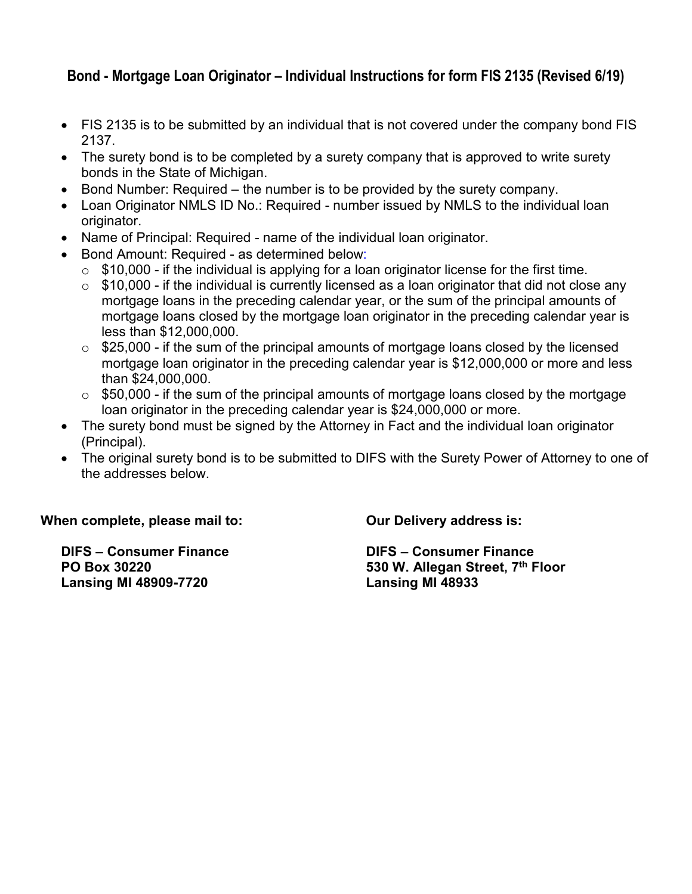## **Bond - Mortgage Loan Originator – Individual Instructions for form FIS 2135 (Revised 6/19)**

- FIS 2135 is to be submitted by an individual that is not covered under the company bond FIS 2137.
- The surety bond is to be completed by a surety company that is approved to write surety bonds in the State of Michigan.
- Bond Number: Required the number is to be provided by the surety company.
- Loan Originator NMLS ID No.: Required number issued by NMLS to the individual loan originator.
- Name of Principal: Required name of the individual loan originator.
- Bond Amount: Required as determined below:
	- $\circ$  \$10,000 if the individual is applying for a loan originator license for the first time.
	- $\circ$  \$10,000 if the individual is currently licensed as a loan originator that did not close any mortgage loans in the preceding calendar year, or the sum of the principal amounts of mortgage loans closed by the mortgage loan originator in the preceding calendar year is less than \$12,000,000.
	- $\circ$  \$25,000 if the sum of the principal amounts of mortgage loans closed by the licensed mortgage loan originator in the preceding calendar year is \$12,000,000 or more and less than \$24,000,000.
	- $\circ$  \$50,000 if the sum of the principal amounts of mortgage loans closed by the mortgage loan originator in the preceding calendar year is \$24,000,000 or more.
- The surety bond must be signed by the Attorney in Fact and the individual loan originator (Principal).
- The original surety bond is to be submitted to DIFS with the Surety Power of Attorney to one of the addresses below.

**When complete, please mail to: Our Delivery address is:**

**Lansing MI 48909-7720 Lansing MI 48933**

**DIFS – Consumer Finance DIFS – Consumer Finance PO Box 30220 530 W. Allegan Street, 7th Floor**